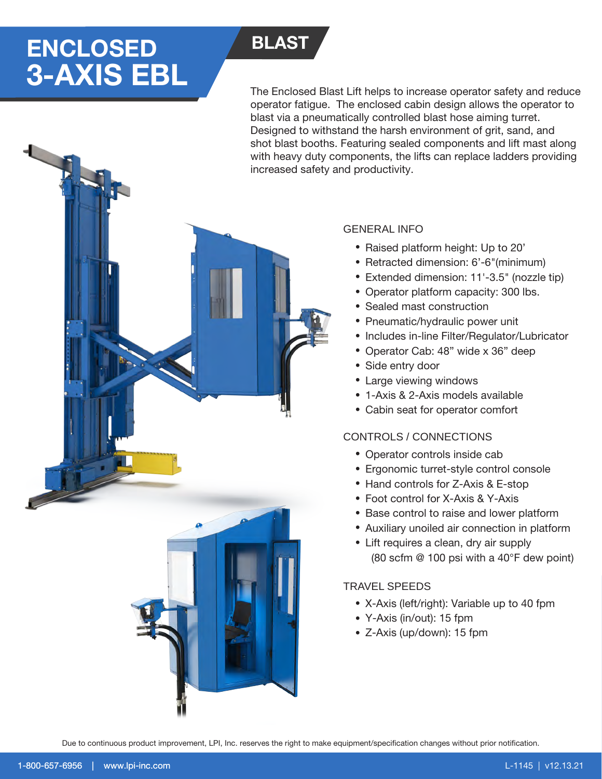# ENCLOSED BLAST 3-AXIS EBL

The Enclosed Blast Lift helps to increase operator safety and reduce operator fatigue. The enclosed cabin design allows the operator to blast via a pneumatically controlled blast hose aiming turret. Designed to withstand the harsh environment of grit, sand, and shot blast booths. Featuring sealed components and lift mast along with heavy duty components, the lifts can replace ladders providing increased safety and productivity.

# GENERAL INFO

- Raised platform height: Up to 20'
- Retracted dimension: 6'-6"(minimum)
- Extended dimension: 11'-3.5" (nozzle tip) •
- Operator platform capacity: 300 lbs.
- Sealed mast construction
- Pneumatic/hydraulic power unit
- Includes in-line Filter/Regulator/Lubricator
- Operator Cab: 48" wide x 36" deep
- Side entry door
- Large viewing windows
- 1-Axis & 2-Axis models available
- Cabin seat for operator comfort

### CONTROLS / CONNECTIONS

- Operator controls inside cab
- Ergonomic turret-style control console
- Hand controls for Z-Axis & E-stop
- Foot control for X-Axis & Y-Axis
- Base control to raise and lower platform
- Auxiliary unoiled air connection in platform
- Lift requires a clean, dry air supply (80 scfm @ 100 psi with a 40°F dew point)

## TRAVEL SPEEDS

- X-Axis (left/right): Variable up to 40 fpm
- Y-Axis (in/out): 15 fpm
- Z-Axis (up/down): 15 fpm

Due to continuous product improvement, LPI, Inc. reserves the right to make equipment/specification changes without prior notification.